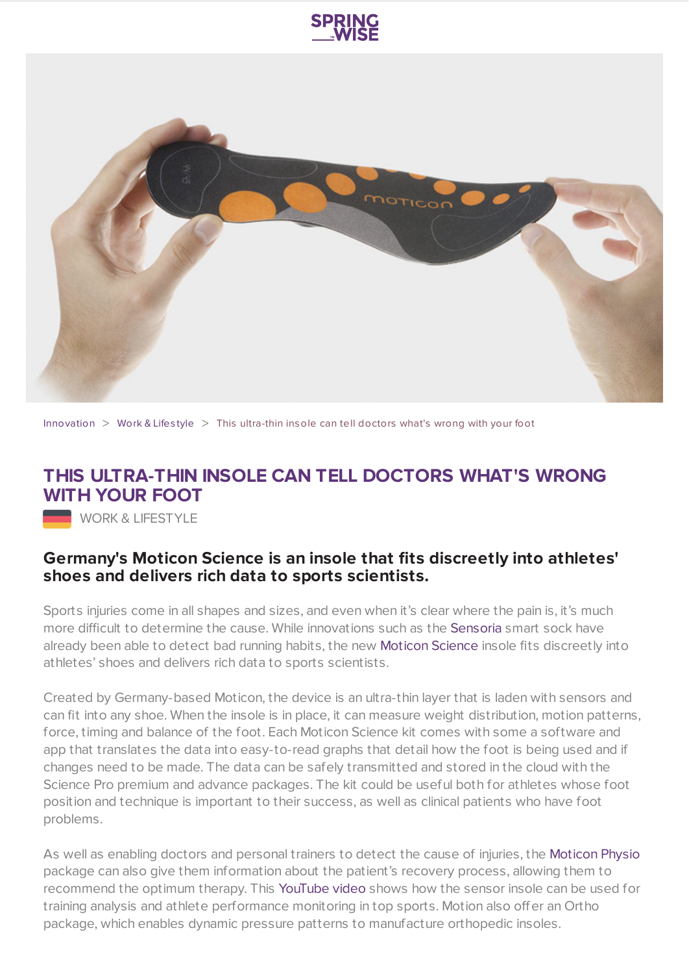



[Innovation](https://www.springwise.com/search?type=innovation)  $>$  [Work](https://www.springwise.com/search?type=innovation§or=work-lifestyle) & Lifestyle  $>$  This ultra-thin insole can tell doctors what's wrong with your foot

## **THIS ULTRA-THIN INSOLE CAN TELL DOCTORS WHAT'S WRONG WITH YOUR FOOT**

**WORK & LIFESTYLE** 

## **Germany's Moticon Science is an insole that fits discreetly into athletes' shoes and delivers rich data to sports scientists.**

Sports injuries come in all shapes and sizes, and even when it's clear where the pain is, it's much more difficult to determine the cause. While innovations such as the [Sensoria](https://www.springwise.com/smart-sock-joggers-run-detect-injuries/) smart sock have already been able to detect bad running habits, the new [Moticon](http://www.moticon.de/) Science insole fits discreetly into athletes' shoes and delivers rich data to sports scientists.

Created by Germany-based Moticon, the device is an ultra-thin layer that is laden with sensors and can fit into any shoe. When the insole is in place, it can measure weight distribution, motion patterns, force, timing and balance of the foot. Each Moticon Science kit comes with some a software and app that translates the data into easy-to-read graphs that detail how the foot is being used and if changes need to be made. The data can be safely transmitted and stored in the cloud with the Science Pro premium and advance packages. The kit could be useful both for athletes whose foot position and technique is important to their success, as well as clinical patients who have foot problems.

As well as enabling doctors and personal trainers to detect the cause of injuries, the [Moticon](http://www.moticon.de/physio/) Physio package can also give them information about the patient's recovery process, allowing them to recommend the optimum therapy. This [YouTube](https://youtu.be/BvieAK45Ebg) video shows how the sensor insole can be used for training analysis and athlete performance monitoring in top sports. Motion also offer an Ortho package, which enables dynamic pressure patterns to manufacture orthopedic insoles.